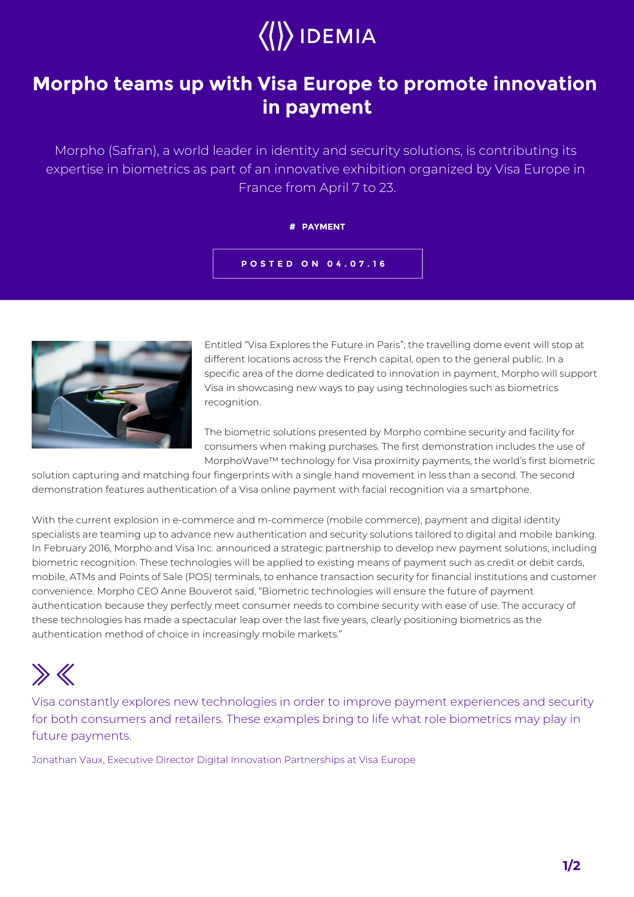

## **Morpho teams up with Visa Europe to promote innovation in payment**

Morpho (Safran), a world leader in identity and security solutions, is contributing its expertise in biometrics as part of an innovative exhibition organized by Visa Europe in France from April 7 to 23.

## **# PAYMENT**

**POSTED ON 04.07.16**



Entitled "Visa Explores the Future in Paris"; the travelling dome event will stop at different locations across the French capital, open to the general public. In a specific area of the dome dedicated to innovation in payment, Morpho will support Visa in showcasing new ways to pay using technologies such as biometrics recognition.

The biometric solutions presented by Morpho combine security and facility for consumers when making purchases. The first demonstration includes the use of MorphoWave™ technology for Visa proximity payments, the world's first biometric

solution capturing and matching four fingerprints with a single hand movement in less than a second. The second demonstration features authentication of a Visa online payment with facial recognition via a smartphone.

With the current explosion in e-commerce and m-commerce (mobile commerce), payment and digital identity specialists are teaming up to advance new authentication and security solutions tailored to digital and mobile banking. In February 2016, Morpho and Visa Inc. announced a strategic partnership to develop new payment solutions, including biometric recognition. These technologies will be applied to existing means of payment such as credit or debit cards, mobile, ATMs and Points of Sale (POS) terminals, to enhance transaction security for financial institutions and customer convenience. Morpho CEO Anne Bouverot said, "Biometric technologies will ensure the future of payment authentication because they perfectly meet consumer needs to combine security with ease of use. The accuracy of these technologies has made a spectacular leap over the last five years, clearly positioning biometrics as the authentication method of choice in increasingly mobile markets."



Visa constantly explores new technologies in order to improve payment experiences and security for both consumers and retailers. These examples bring to life what role biometrics may play in future payments.

Jonathan Vaux, Executive Director Digital Innovation Partnerships at Visa Europe